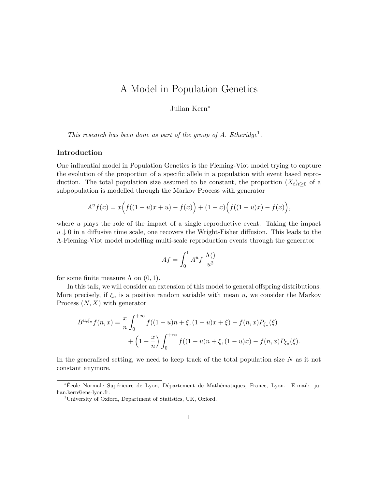## A Model in Population Genetics

Julian Kern<sup>∗</sup>

*This research has been done as part of the group of A. Etheridge*<sup>1</sup>.

## **Introduction**

One influential model in Population Genetics is the Fleming-Viot model trying to capture the evolution of the proportion of a specific allele in a population with event based reproduction. The total population size assumed to be constant, the proportion  $(X_t)_{t\geq0}$  of a subpopulation is modelled through the Markov Process with generator

$$
A^{u} f(x) = x(f((1-u)x + u) - f(x)) + (1-x)\Big(f((1-u)x) - f(x)\Big),
$$

where  $u$  plays the role of the impact of a single reproductive event. Taking the impact  $u \downarrow 0$  in a diffusive time scale, one recovers the Wright-Fisher diffusion. This leads to the Λ-Fleming-Viot model modelling multi-scale reproduction events through the generator

$$
Af = \int_0^1 A^u f \frac{\Lambda(\tt)}{u^2}
$$

for some finite measure  $\Lambda$  on  $(0, 1)$ .

In this talk, we will consider an extension of this model to general offspring distributions. More precisely, if  $\xi_u$  is a positive random variable with mean u, we consider the Markov Process  $(N, X)$  with generator

$$
B^{u,\xi_u} f(n,x) = \frac{x}{n} \int_0^{+\infty} f((1-u)n + \xi, (1-u)x + \xi) - f(n,x)P_{\xi_u}(\xi)
$$
  
+ 
$$
\left(1 - \frac{x}{n}\right) \int_0^{+\infty} f((1-u)n + \xi, (1-u)x) - f(n,x)P_{\xi_u}(\xi).
$$

In the generalised setting, we need to keep track of the total population size  $N$  as it not constant anymore.

<sup>∗</sup>École Normale Supérieure de Lyon, Département de Mathématiques, France, Lyon. E-mail: julian.kern@ens-lyon.fr.

<sup>1</sup>University of Oxford, Department of Statistics, UK, Oxford.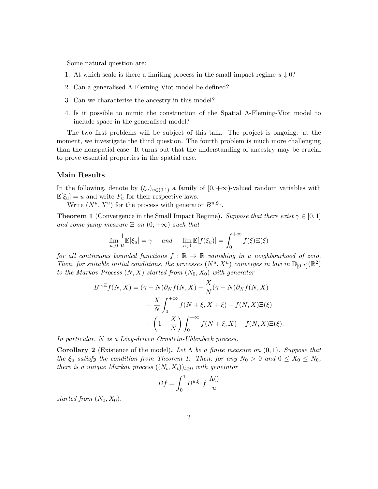Some natural question are:

- 1. At which scale is there a limiting process in the small impact regime  $u \downarrow 0$ ?
- 2. Can a generalised Λ-Fleming-Viot model be defined?
- 3. Can we characterise the ancestry in this model?
- 4. Is it possible to mimic the construction of the Spatial Λ-Fleming-Viot model to include space in the generalised model?

The two first problems will be subject of this talk. The project is ongoing: at the moment, we investigate the third question. The fourth problem is much more challenging than the nonspatial case. It turns out that the understanding of ancestry may be crucial to prove essential properties in the spatial case.

## **Main Results**

In the following, denote by  $(\xi_u)_{u\in(0,1)}$  a family of  $[0,+\infty)$ -valued random variables with  $\mathbb{E}[\xi_u] = u$  and write  $P_u$  for their respective laws.

Write  $(N^u, X^u)$  for the process with generator  $B^{u,\xi_u}$ .

**Theorem 1** (Convergence in the Small Impact Regime). *Suppose that there exist*  $\gamma \in [0,1]$ *and some jump measure*  $\Xi$  *on*  $(0, +\infty)$  *such that* 

$$
\lim_{u \downarrow 0} \frac{1}{u} \mathbb{E}[\xi_u] = \gamma \quad \text{and} \quad \lim_{u \downarrow 0} \mathbb{E}[f(\xi_u)] = \int_0^{+\infty} f(\xi) \Xi(\xi)
$$

*for all continuous bounded functions* f : R → R *vanishing in a neighbourhood of zero.* Then, for suitable initial conditions, the processes  $(N^u, X^u)$  converges in law in  $\mathbb{D}_{[0,T]}(\mathbb{R}^2)$ *to the Markov Process*  $(N, X)$  *started from*  $(N_0, X_0)$  *with generator* 

$$
B^{\gamma,\Xi}f(N,X) = (\gamma - N)\partial_N f(N,X) - \frac{X}{N}(\gamma - N)\partial_X f(N,X)
$$

$$
+ \frac{X}{N} \int_0^{+\infty} f(N+\xi, X+\xi) - f(N,X)\Xi(\xi)
$$

$$
+ \left(1 - \frac{X}{N}\right) \int_0^{+\infty} f(N+\xi, X) - f(N,X)\Xi(\xi).
$$

*In particular,* N *is a Lévy-driven Ornstein-Uhlenbeck process.*

**Corollary 2** (Existence of the model). Let  $\Lambda$  be a finite measure on  $(0, 1)$ . Suppose that *the*  $\xi_u$  *satisfy the condition from Theorem 1. Then, for any*  $N_0 > 0$  *and*  $0 \le X_0 \le N_0$ , *there is a unique Markov process*  $((N_t, X_t))_{t \geq 0}$  *with generator* 

$$
Bf = \int_0^1 B^{u, \xi_u} f \frac{\Lambda()}{u} u
$$

*started from*  $(N_0, X_0)$ .